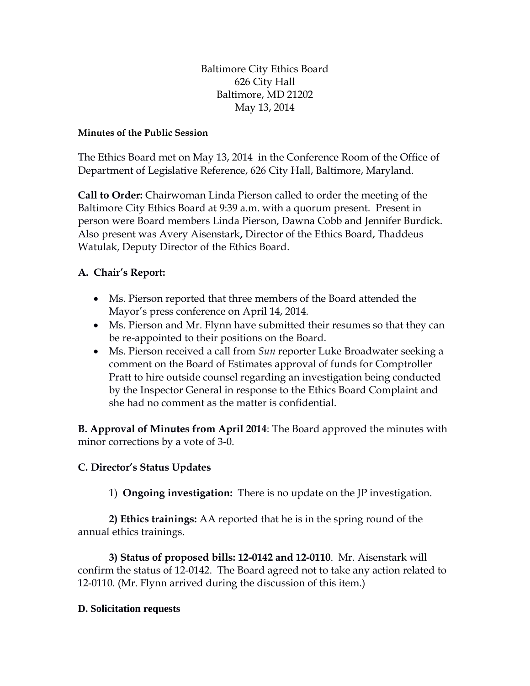Baltimore City Ethics Board 626 City Hall Baltimore, MD 21202 May 13, 2014

## **Minutes of the Public Session**

The Ethics Board met on May 13, 2014 in the Conference Room of the Office of Department of Legislative Reference, 626 City Hall, Baltimore, Maryland.

**Call to Order:** Chairwoman Linda Pierson called to order the meeting of the Baltimore City Ethics Board at 9:39 a.m. with a quorum present. Present in person were Board members Linda Pierson, Dawna Cobb and Jennifer Burdick. Also present was Avery Aisenstark**,** Director of the Ethics Board, Thaddeus Watulak, Deputy Director of the Ethics Board.

## **A. Chair's Report:**

- Ms. Pierson reported that three members of the Board attended the Mayor's press conference on April 14, 2014.
- Ms. Pierson and Mr. Flynn have submitted their resumes so that they can be re-appointed to their positions on the Board.
- Ms. Pierson received a call from *Sun* reporter Luke Broadwater seeking a comment on the Board of Estimates approval of funds for Comptroller Pratt to hire outside counsel regarding an investigation being conducted by the Inspector General in response to the Ethics Board Complaint and she had no comment as the matter is confidential.

**B. Approval of Minutes from April 2014**: The Board approved the minutes with minor corrections by a vote of 3-0.

## **C. Director's Status Updates**

1) **Ongoing investigation:** There is no update on the JP investigation.

**2) Ethics trainings:** AA reported that he is in the spring round of the annual ethics trainings.

**3) Status of proposed bills: 12-0142 and 12-0110**. Mr. Aisenstark will confirm the status of 12-0142. The Board agreed not to take any action related to 12-0110. (Mr. Flynn arrived during the discussion of this item.)

## **D. Solicitation requests**